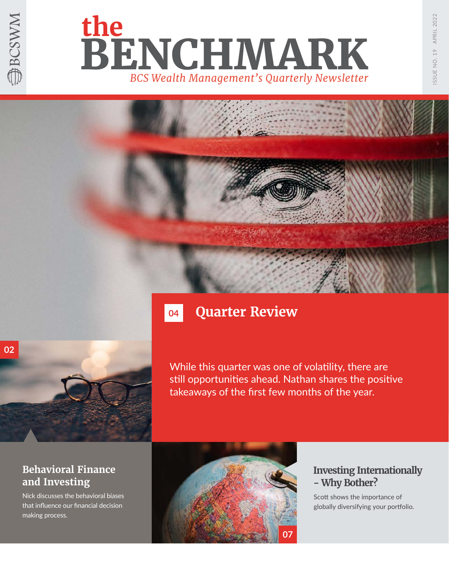





# **04**

### **Quarter Review**

While this quarter was one of volatility, there are still opportunities ahead. Nathan shares the positive takeaways of the first few months of the year.

### **Behavioral Finance and Investing**

Nick discusses the behavioral biases that influence our financial decision making process.



### **Investing Internationally - Why Bother?**

Scott shows the importance of globally diversifying your portfolio.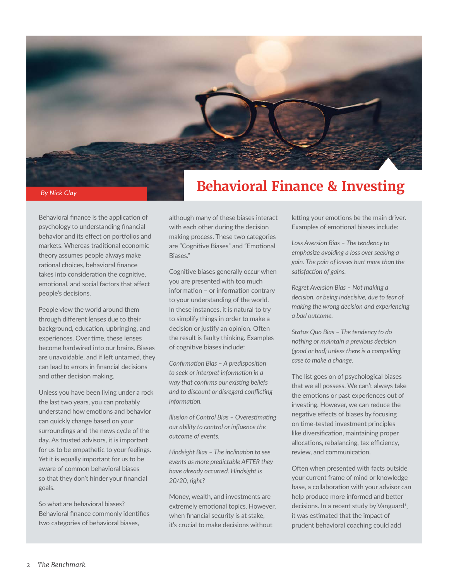

# **Behavioral Finance & Investing**

Behavioral finance is the application of psychology to understanding financial behavior and its effect on portfolios and markets. Whereas traditional economic theory assumes people always make rational choices, behavioral finance takes into consideration the cognitive, emotional, and social factors that affect people's decisions.

People view the world around them through different lenses due to their background, education, upbringing, and experiences. Over time, these lenses become hardwired into our brains. Biases are unavoidable, and if left untamed, they can lead to errors in financial decisions and other decision making.

Unless you have been living under a rock the last two years, you can probably understand how emotions and behavior can quickly change based on your surroundings and the news cycle of the day. As trusted advisors, it is important for us to be empathetic to your feelings. Yet it is equally important for us to be aware of common behavioral biases so that they don't hinder your financial goals.

So what are behavioral biases? Behavioral finance commonly identifies two categories of behavioral biases,

although many of these biases interact with each other during the decision making process. These two categories are "Cognitive Biases" and "Emotional Biases."

Cognitive biases generally occur when you are presented with too much information – or information contrary to your understanding of the world. In these instances, it is natural to try to simplify things in order to make a decision or justify an opinion. Often the result is faulty thinking. Examples of cognitive biases include:

*Confirmation Bias – A predisposition to seek or interpret information in a way that confirms our existing beliefs and to discount or disregard conflicting information.*

*Illusion of Control Bias – Overestimating our ability to control or influence the outcome of events.*

*Hindsight Bias – The inclination to see events as more predictable AFTER they have already occurred. Hindsight is 20/20, right?* 

Money, wealth, and investments are extremely emotional topics. However, when financial security is at stake, it's crucial to make decisions without

letting your emotions be the main driver. Examples of emotional biases include:

*Loss Aversion Bias – The tendency to emphasize avoiding a loss over seeking a gain. The pain of losses hurt more than the satisfaction of gains.*

*Regret Aversion Bias – Not making a decision, or being indecisive, due to fear of making the wrong decision and experiencing a bad outcome.*

*Status Quo Bias – The tendency to do nothing or maintain a previous decision (good or bad) unless there is a compelling case to make a change.* 

The list goes on of psychological biases that we all possess. We can't always take the emotions or past experiences out of investing. However, we can reduce the negative effects of biases by focusing on time-tested investment principles like diversification, maintaining proper allocations, rebalancing, tax efficiency, review, and communication.

Often when presented with facts outside your current frame of mind or knowledge base, a collaboration with your advisor can help produce more informed and better decisions. In a recent study by Vanguard<sup>1</sup>, it was estimated that the impact of prudent behavioral coaching could add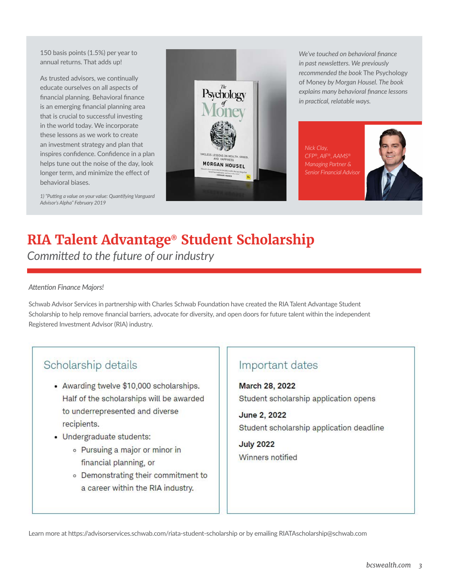150 basis points (1.5%) per year to annual returns. That adds up!

As trusted advisors, we continually educate ourselves on all aspects of financial planning. Behavioral finance is an emerging financial planning area that is crucial to successful investing in the world today. We incorporate these lessons as we work to create an investment strategy and plan that inspires confidence. Confidence in a plan helps tune out the noise of the day, look longer term, and minimize the effect of behavioral biases.



*We've touched on behavioral finance in past newsletters. We previously recommended the book* The Psychology of Money *by Morgan Housel. The book explains many behavioral finance lessons in practical, relatable ways.*

*Nick Clay, CFP®, AIF®, AAMS® Managing Partner & Senior Financial Advisor*



*1) "Putting a value on your value: Quantifying Vanguard Advisor's Alpha" February 2019*

### **RIA Talent Advantage® Student Scholarship** *Committed to the future of our industry*

#### *Attention Finance Majors!*

Schwab Advisor Services in partnership with Charles Schwab Foundation have created the RIA Talent Advantage Student Scholarship to help remove financial barriers, advocate for diversity, and open doors for future talent within the independent Registered Investment Advisor (RIA) industry.

### Scholarship details

- Awarding twelve \$10,000 scholarships. Half of the scholarships will be awarded to underrepresented and diverse recipients.
- Undergraduate students:
	- o Pursuing a major or minor in financial planning, or
	- o Demonstrating their commitment to a career within the RIA industry.

### Important dates

**March 28, 2022** Student scholarship application opens

June 2, 2022 Student scholarship application deadline

**July 2022** Winners notified

Learn more at https://advisorservices.schwab.com/riata-student-scholarship or by emailing RIATAscholarship@schwab.com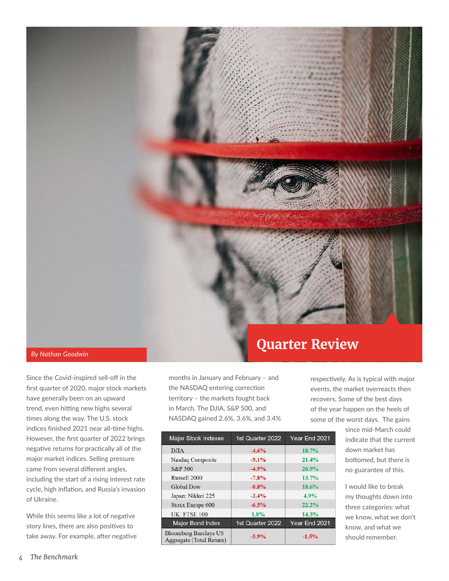

*By Nathan Goodwin*

Since the Covid-inspired sell-off in the first quarter of 2020, major stock markets have generally been on an upward trend, even hitting new highs several times along the way. The U.S. stock indices finished 2021 near all-time highs. However, the first quarter of 2022 brings negative returns for practically all of the major market indices. Selling pressure came from several different angles, including the start of a rising interest rate cycle, high inflation, and Russia's invasion of Ukraine.

While this seems like a lot of negative story lines, there are also positives to take away. For example, after negative

months in January and February – and the NASDAQ entering correction territory – the markets fought back in March. The DJIA, S&P 500, and NASDAQ gained 2.6%, 3.6%, and 3.4%

| <b>Major Stock Indexes</b>                               | 1st Quarter 2022 | Year End 2021 |  |
|----------------------------------------------------------|------------------|---------------|--|
| <b>DJIA</b>                                              | $-4.6%$          | 18.7%         |  |
| Nasdaq Composite                                         | $-9.1%$          | 21.4%         |  |
| S&P 500                                                  | $-4.9%$          | 26.9%         |  |
| Russell 2000                                             | $-7.8%$          | 13.7%         |  |
| <b>Global Dow</b>                                        | $-0.8%$          | 18.6%         |  |
| Japan: Nikkei 225                                        | $-3.4%$          | 4.9%          |  |
| Stoxx Europe 600                                         | $-6.5%$          | 22.2%         |  |
| <b>UK: FTSE 100</b>                                      | 1.8%             | 14.3%         |  |
| <b>Major Bond Index</b>                                  | 1st Quarter 2022 | Year End 2021 |  |
| <b>Bloomberg Barclays US</b><br>Aggregate (Total Return) | $-5.9\%$         | $-1.5%$       |  |

respectively. As is typical with major events, the market overreacts then recovers. Some of the best days of the year happen on the heels of some of the worst days. The gains

> since mid-March could indicate that the current down market has bottomed, but there is no guarantee of this.

I would like to break my thoughts down into three categories: what we know, what we don't know, and what we should remember.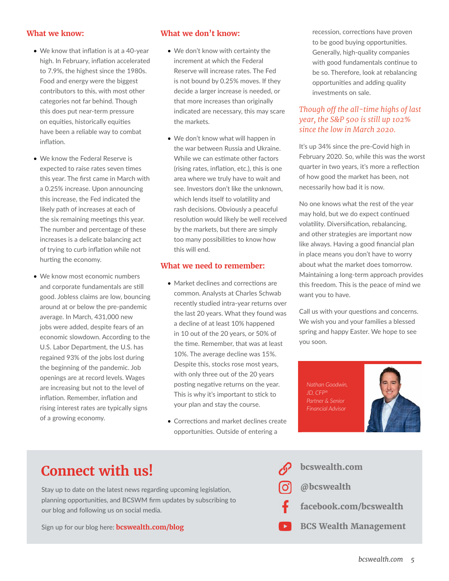#### **What we know:**

- We know that inflation is at a 40-year high. In February, inflation accelerated to 7.9%, the highest since the 1980s. Food and energy were the biggest contributors to this, with most other categories not far behind. Though this does put near-term pressure on equities, historically equities have been a reliable way to combat inflation.
- We know the Federal Reserve is expected to raise rates seven times this year. The first came in March with a 0.25% increase. Upon announcing this increase, the Fed indicated the likely path of increases at each of the six remaining meetings this year. The number and percentage of these increases is a delicate balancing act of trying to curb inflation while not hurting the economy.
- We know most economic numbers and corporate fundamentals are still good. Jobless claims are low, bouncing around at or below the pre-pandemic average. In March, 431,000 new jobs were added, despite fears of an economic slowdown. According to the U.S. Labor Department, the U.S. has regained 93% of the jobs lost during the beginning of the pandemic. Job openings are at record levels. Wages are increasing but not to the level of inflation. Remember, inflation and rising interest rates are typically signs of a growing economy.

#### **What we don't know:**

- We don't know with certainty the increment at which the Federal Reserve will increase rates. The Fed is not bound by 0.25% moves. If they decide a larger increase is needed, or that more increases than originally indicated are necessary, this may scare the markets.
- We don't know what will happen in the war between Russia and Ukraine. While we can estimate other factors (rising rates, inflation, etc.), this is one area where we truly have to wait and see. Investors don't like the unknown, which lends itself to volatility and rash decisions. Obviously a peaceful resolution would likely be well received by the markets, but there are simply too many possibilities to know how this will end.

### **What we need to remember:**

- Market declines and corrections are common. Analysts at Charles Schwab recently studied intra-year returns over the last 20 years. What they found was a decline of at least 10% happened in 10 out of the 20 years, or 50% of the time. Remember, that was at least 10%. The average decline was 15%. Despite this, stocks rose most years, with only three out of the 20 years posting negative returns on the year. This is why it's important to stick to your plan and stay the course.
- Corrections and market declines create opportunities. Outside of entering a

recession, corrections have proven to be good buying opportunities. Generally, high-quality companies with good fundamentals continue to be so. Therefore, look at rebalancing opportunities and adding quality investments on sale.

### *Though off the all-time highs of last year, the S&P 500 is still up 102% since the low in March 2020.*

It's up 34% since the pre-Covid high in February 2020. So, while this was the worst quarter in two years, it's more a reflection of how good the market has been, not necessarily how bad it is now.

No one knows what the rest of the year may hold, but we do expect continued volatility. Diversification, rebalancing, and other strategies are important now like always. Having a good financial plan in place means you don't have to worry about what the market does tomorrow. Maintaining a long-term approach provides this freedom. This is the peace of mind we want you to have.

Call us with your questions and concerns. We wish you and your families a blessed spring and happy Easter. We hope to see you soon.

*Nathan Goodwin, JD, CFP® Partner & Senior Financial Advisor*



# **Connect with us!** Some of the set of the set of the set of the set of the set of the set of the set of the set of the set of the set of the set of the set of the set of the set of the set of the set of the set of the set

Stay up to date on the latest news regarding upcoming legislation, planning opportunities, and BCSWM firm updates by subscribing to our blog and following us on social media.

Sign up for our blog here: **bcswealth.com/blog**

**@bcswealth facebook.com/bcswealth BCS Wealth Management**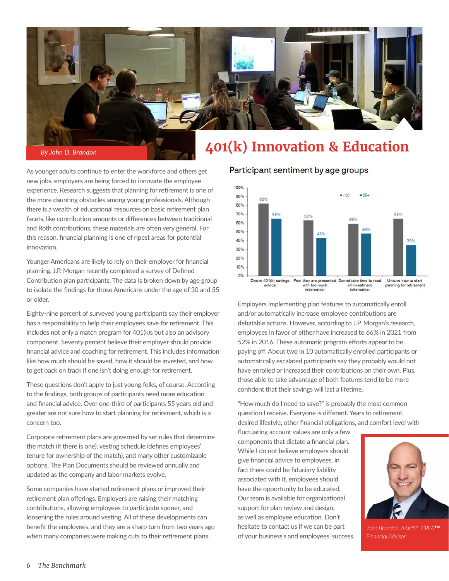

As younger adults continue to enter the workforce and others get new jobs, employers are being forced to innovate the employee experience. Research suggests that planning for retirement is one of the more daunting obstacles among young professionals. Although there is a wealth of educational resources on basic retirement plan facets, like contribution amounts or differences between traditional and Roth contributions, these materials are often very general. For this reason, financial planning is one of ripest areas for potential innovation.

Younger Americans are likely to rely on their employer for financial planning. J.P. Morgan recently completed a survey of Defined Contribution plan participants. The data is broken down by age group to isolate the findings for those Americans under the age of 30 and 55 or older.

Eighty-nine percent of surveyed young participants say their employer has a responsibility to help their employees save for retirement. This includes not only a match program for 401(k)s but also an advisory component. Seventy percent believe their employer should provide financial advice and coaching for retirement. This includes information like how much should be saved, how it should be invested, and how to get back on track if one isn't doing enough for retirement.

These questions don't apply to just young folks, of course. According to the findings, both groups of participants need more education and financial advice. Over one-third of participants 55 years old and greater are not sure how to start planning for retirement, which is a concern too.

Corporate retirement plans are governed by set rules that determine the match (if there is one), vesting schedule (defines employees' tenure for ownership of the match), and many other customizable options. The Plan Documents should be reviewed annually and updated as the company and labor markets evolve.

Some companies have started retirement plans or improved their retirement plan offerings. Employers are raising their matching contributions, allowing employees to participate sooner, and loosening the rules around vesting. All of these developments can benefit the employees, and they are a sharp turn from two years ago when many companies were making cuts to their retirement plans.

Participant sentiment by age groups



Employers implementing plan features to automatically enroll and/or automatically increase employee contributions are debatable actions. However, according to J.P. Morgan's research, employees in favor of either have increased to 66% in 2021 from 52% in 2016. These automatic program efforts appear to be paying off. About two in 10 automatically enrolled participants or automatically escalated participants say they probably would not have enrolled or increased their contributions on their own. Plus, those able to take advantage of both features tend to be more confident that their savings will last a lifetime.

"How much do I need to save?" is probably the most common question I receive. Everyone is different. Years to retirement, desired lifestyle, other financial obligations, and comfort level with

fluctuating account values are only a few components that dictate a financial plan. While I do not believe employers should give financial advice to employees, in fact there could be fiduciary liability associated with it, employees should have the opportunity to be educated. Our team is available for organizational support for plan review and design, as well as employee education. Don't hesitate to contact us if we can be part of your business's and employees' success.



*John Brandon, AAMS®, CPFA***™** *Financial Advisor*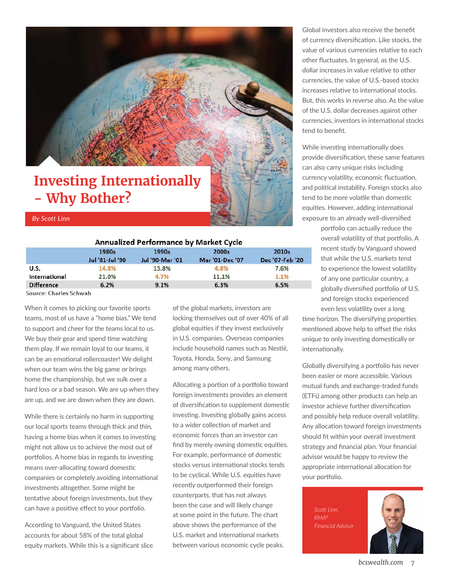

# **Investing Internationally - Why Bother?**

#### *By Scott Linn*

#### **Annualized Performance by Market Cycle**

| __              |                 |                        | 2010s           |
|-----------------|-----------------|------------------------|-----------------|
| Jul '81-Jul '90 | Jul '90-Mar '01 | <b>Mar '01-Dec '07</b> | Dec '07-Feb '20 |
| 14.8%           | 13.8%           | 4.8%                   | 7.6%            |
| 21.0%           | 4.7%            | 11.1%                  | 1.1%            |
| 6.2%            | 9.1%            | 6.3%                   | 6.5%            |
|                 | 1980s           | 1990s                  | 2000s           |

Source: Charles Schwab

When it comes to picking our favorite sports teams, most of us have a "home bias." We tend to support and cheer for the teams local to us. We buy their gear and spend time watching them play. If we remain loyal to our teams, it can be an emotional rollercoaster! We delight when our team wins the big game or brings home the championship, but we sulk over a hard loss or a bad season. We are up when they are up, and we are down when they are down.

While there is certainly no harm in supporting our local sports teams through thick and thin, having a home bias when it comes to investing might not allow us to achieve the most out of portfolios. A home bias in regards to investing means over-allocating toward domestic companies or completely avoiding international investments altogether. Some might be tentative about foreign investments, but they can have a positive effect to your portfolio.

According to Vanguard, the United States accounts for about 58% of the total global equity markets. While this is a significant slice of the global markets, investors are locking themselves out of over 40% of all global equities if they invest exclusively in U.S. companies. Overseas companies include household names such as Nestlé, Toyota, Honda, Sony, and Samsung among many others.

Allocating a portion of a portfolio toward foreign investments provides an element of diversification to supplement domestic investing. Investing globally gains access to a wider collection of market and economic forces than an investor can find by merely owning domestic equities. For example, performance of domestic stocks versus international stocks tends to be cyclical. While U.S. equities have recently outperformed their foreign counterparts, that has not always been the case and will likely change at some point in the future. The chart above shows the performance of the U.S. market and international markets between various economic cycle peaks.

Global investors also receive the benefit of currency diversification. Like stocks, the value of various currencies relative to each other fluctuates. In general, as the U.S. dollar increases in value relative to other currencies, the value of U.S.-based stocks increases relative to international stocks. But, this works in reverse also. As the value of the U.S. dollar decreases against other currencies, investors in international stocks tend to benefit.

While investing internationally does provide diversification, these same features can also carry unique risks including currency volatility, economic fluctuation, and political instability. Foreign stocks also tend to be more volatile than domestic equities. However, adding international exposure to an already well-diversified

> portfolio can actually reduce the overall volatility of that portfolio. A recent study by Vanguard showed that while the U.S. markets tend to experience the lowest volatility of any one particular country, a globally diversified portfolio of U.S. and foreign stocks experienced even less volatility over a long

time horizon. The diversifying properties mentioned above help to offset the risks unique to only investing domestically or internationally.

Globally diversifying a portfolio has never been easier or more accessible. Various mutual funds and exchange-traded funds (ETFs) among other products can help an investor achieve further diversification and possibly help reduce overall volatility. Any allocation toward foreign investments should fit within your overall investment strategy and financial plan. Your financial advisor would be happy to review the appropriate international allocation for your portfolio.

*Scott Linn, RMA® Financial Advisor*